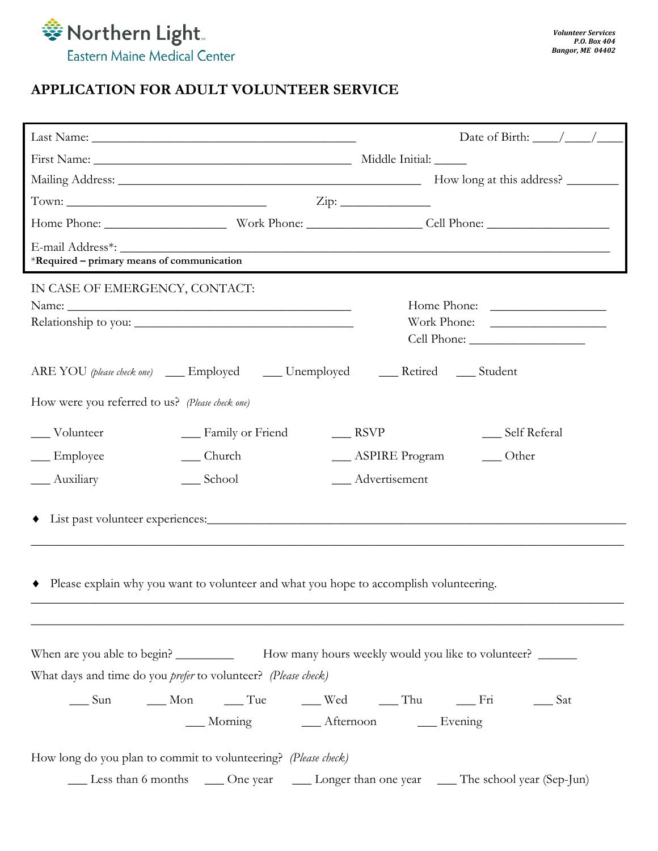

## **APPLICATION FOR ADULT VOLUNTEER SERVICE**

|                                                                                                                                                                                                                                                                                                                                                                                                               | Date of Birth: $\_\_\_\_\_\_\_\_\_\_\_\_\_$                                                                                                                                                                                        |  |  |  |  |  |
|---------------------------------------------------------------------------------------------------------------------------------------------------------------------------------------------------------------------------------------------------------------------------------------------------------------------------------------------------------------------------------------------------------------|------------------------------------------------------------------------------------------------------------------------------------------------------------------------------------------------------------------------------------|--|--|--|--|--|
|                                                                                                                                                                                                                                                                                                                                                                                                               |                                                                                                                                                                                                                                    |  |  |  |  |  |
|                                                                                                                                                                                                                                                                                                                                                                                                               |                                                                                                                                                                                                                                    |  |  |  |  |  |
| Town: $\frac{1}{\sqrt{1-\frac{1}{2}}\sqrt{1-\frac{1}{2}}\sqrt{1-\frac{1}{2}}\sqrt{1-\frac{1}{2}}\sqrt{1-\frac{1}{2}}\sqrt{1-\frac{1}{2}}\sqrt{1-\frac{1}{2}}\sqrt{1-\frac{1}{2}}\sqrt{1-\frac{1}{2}}\sqrt{1-\frac{1}{2}}\sqrt{1-\frac{1}{2}}\sqrt{1-\frac{1}{2}}\sqrt{1-\frac{1}{2}}\sqrt{1-\frac{1}{2}}\sqrt{1-\frac{1}{2}}\sqrt{1-\frac{1}{2}}\sqrt{1-\frac{1}{2}}\sqrt{1-\frac{1}{2}}\sqrt{1-\frac{1}{2}}$ | $\overline{\mathrm{Zip:}}$                                                                                                                                                                                                         |  |  |  |  |  |
|                                                                                                                                                                                                                                                                                                                                                                                                               |                                                                                                                                                                                                                                    |  |  |  |  |  |
| *Required – primary means of communication                                                                                                                                                                                                                                                                                                                                                                    |                                                                                                                                                                                                                                    |  |  |  |  |  |
| IN CASE OF EMERGENCY, CONTACT:                                                                                                                                                                                                                                                                                                                                                                                |                                                                                                                                                                                                                                    |  |  |  |  |  |
| ARE YOU (please check one) ______ Employed _______ Unemployed ________ Retired ______ Student                                                                                                                                                                                                                                                                                                                 |                                                                                                                                                                                                                                    |  |  |  |  |  |
| How were you referred to us? (Please check one)                                                                                                                                                                                                                                                                                                                                                               |                                                                                                                                                                                                                                    |  |  |  |  |  |
| ___ Volunteer<br>__ Family or Friend                                                                                                                                                                                                                                                                                                                                                                          | $\frac{1}{2}$ RSVP<br>__ Self Referal                                                                                                                                                                                              |  |  |  |  |  |
| __ Church<br>__ Employee                                                                                                                                                                                                                                                                                                                                                                                      | ___ ASPIRE Program<br>$\_\_$ Other                                                                                                                                                                                                 |  |  |  |  |  |
| __ School<br>__ Auxiliary                                                                                                                                                                                                                                                                                                                                                                                     | __ Advertisement                                                                                                                                                                                                                   |  |  |  |  |  |
| Please explain why you want to volunteer and what you hope to accomplish volunteering.                                                                                                                                                                                                                                                                                                                        |                                                                                                                                                                                                                                    |  |  |  |  |  |
| What days and time do you prefer to volunteer? (Please check)                                                                                                                                                                                                                                                                                                                                                 | When are you able to begin? ________________ How many hours weekly would you like to volunteer? ________<br>_____ Sun ______ Mon ______ Tue ______ Wed ______ Thu ________ Fri _______ Sat<br>__ Morning ___ Afternoon ___ Evening |  |  |  |  |  |
| How long do you plan to commit to volunteering? (Please check)                                                                                                                                                                                                                                                                                                                                                | Less than 6 months ____ One year ____ Longer than one year ____ The school year (Sep-Jun)                                                                                                                                          |  |  |  |  |  |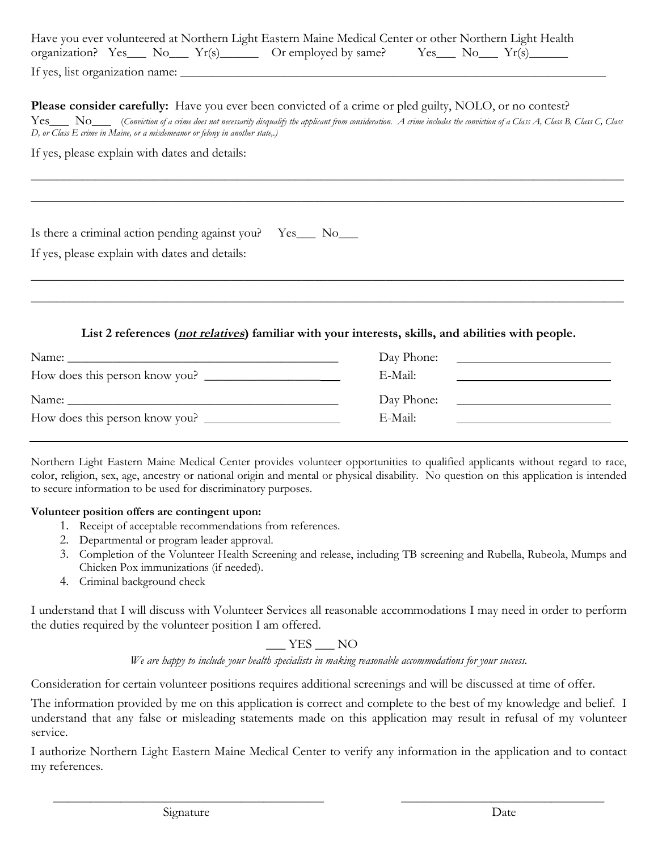|                                 |  |  |  | Have you ever volunteered at Northern Light Eastern Maine Medical Center or other Northern Light Health                          |  |  |  |  |
|---------------------------------|--|--|--|----------------------------------------------------------------------------------------------------------------------------------|--|--|--|--|
|                                 |  |  |  | organization? $Yes$ No $Yrs$ $\longrightarrow$ $Yr(s)$ $\longrightarrow$ Or employed by same? $Yes$ No $Yr(s)$ $\longrightarrow$ |  |  |  |  |
| If yes, list organization name: |  |  |  |                                                                                                                                  |  |  |  |  |

**Please consider carefully:** Have you ever been convicted of a crime or pled guilty, NOLO, or no contest?

Yes\_\_\_ No\_\_\_ (*Conviction of a crime does not necessarily disqualify the applicant from consideration. A crime includes the conviction of a Class A, Class B, Class C, Class D, or Class E crime in Maine, or a misdemeanor or felony in another state,.)* 

 $\_$  , and the contribution of the contribution of the contribution of the contribution of  $\mathcal{L}_\text{max}$ 

\_\_\_\_\_\_\_\_\_\_\_\_\_\_\_\_\_\_\_\_\_\_\_\_\_\_\_\_\_\_\_\_\_\_\_\_\_\_\_\_\_\_\_\_\_\_\_\_\_\_\_\_\_\_\_\_\_\_\_\_\_\_\_\_\_\_\_\_\_\_\_\_\_\_\_\_\_\_\_\_\_\_\_\_\_\_\_\_\_\_\_\_

If yes, please explain with dates and details:

Is there a criminal action pending against you? Yes No

If yes, please explain with dates and details:

## **List 2 references (not relatives) familiar with your interests, skills, and abilities with people.**

 $\_$  , and the contribution of the contribution of the contribution of the contribution of  $\mathcal{L}_\text{max}$ 

\_\_\_\_\_\_\_\_\_\_\_\_\_\_\_\_\_\_\_\_\_\_\_\_\_\_\_\_\_\_\_\_\_\_\_\_\_\_\_\_\_\_\_\_\_\_\_\_\_\_\_\_\_\_\_\_\_\_\_\_\_\_\_\_\_\_\_\_\_\_\_\_\_\_\_\_\_\_\_\_\_\_\_\_\_\_\_\_\_\_\_\_

| Name:                          | Day Phone: |
|--------------------------------|------------|
|                                | E-Mail:    |
| Name:                          | Day Phone: |
| How does this person know you? | E-Mail:    |

Northern Light Eastern Maine Medical Center provides volunteer opportunities to qualified applicants without regard to race, color, religion, sex, age, ancestry or national origin and mental or physical disability. No question on this application is intended to secure information to be used for discriminatory purposes.

## **Volunteer position offers are contingent upon:**

- 1. Receipt of acceptable recommendations from references.
- 2. Departmental or program leader approval.
- 3. Completion of the Volunteer Health Screening and release, including TB screening and Rubella, Rubeola, Mumps and Chicken Pox immunizations (if needed).
- 4. Criminal background check

I understand that I will discuss with Volunteer Services all reasonable accommodations I may need in order to perform the duties required by the volunteer position I am offered.

YES NO

*We are happy to include your health specialists in making reasonable accommodations for your success.* 

Consideration for certain volunteer positions requires additional screenings and will be discussed at time of offer.

The information provided by me on this application is correct and complete to the best of my knowledge and belief. I understand that any false or misleading statements made on this application may result in refusal of my volunteer service.

I authorize Northern Light Eastern Maine Medical Center to verify any information in the application and to contact my references.

\_\_\_\_\_\_\_\_\_\_\_\_\_\_\_\_\_\_\_\_\_\_\_\_\_\_\_\_\_\_\_\_\_\_\_\_ \_\_\_\_\_\_\_\_\_\_\_\_\_\_\_\_\_\_\_\_\_\_\_\_\_\_\_